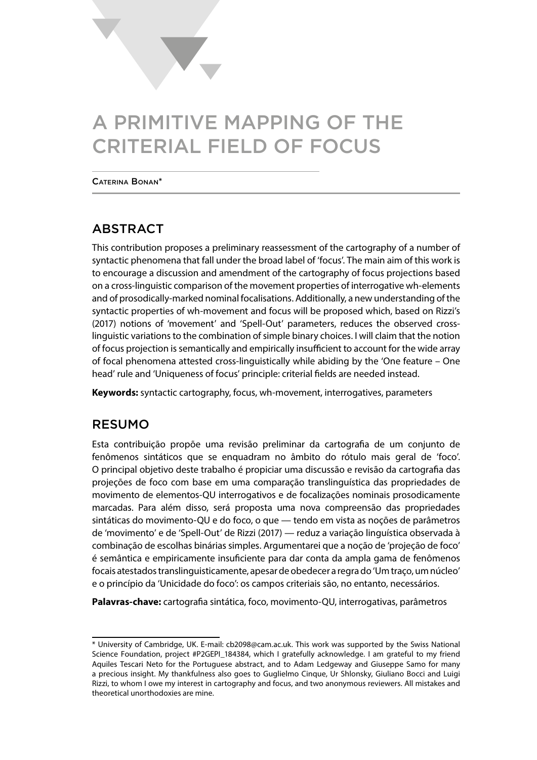# A PRIMITIVE MAPPING OF THE CRITERIAL FIELD OF FOCUS

Caterina Bonan\*

# ABSTRACT

This contribution proposes a preliminary reassessment of the cartography of a number of syntactic phenomena that fall under the broad label of 'focus'. The main aim of this work is to encourage a discussion and amendment of the cartography of focus projections based on a cross-linguistic comparison of the movement properties of interrogative wh-elements and of prosodically-marked nominal focalisations. Additionally, a new understanding of the syntactic properties of wh-movement and focus will be proposed which, based on Rizzi's (2017) notions of 'movement' and 'Spell-Out' parameters, reduces the observed crosslinguistic variations to the combination of simple binary choices. I will claim that the notion of focus projection is semantically and empirically insufficient to account for the wide array of focal phenomena attested cross-linguistically while abiding by the 'One feature – One head' rule and 'Uniqueness of focus' principle: criterial fields are needed instead.

**Keywords:** syntactic cartography, focus, wh-movement, interrogatives, parameters

# RESUMO

Esta contribuição propõe uma revisão preliminar da cartografia de um conjunto de fenômenos sintáticos que se enquadram no âmbito do rótulo mais geral de 'foco'. O principal objetivo deste trabalho é propiciar uma discussão e revisão da cartografia das projeções de foco com base em uma comparação translinguística das propriedades de movimento de elementos-QU interrogativos e de focalizações nominais prosodicamente marcadas. Para além disso, será proposta uma nova compreensão das propriedades sintáticas do movimento-QU e do foco, o que — tendo em vista as noções de parâmetros de 'movimento' e de 'Spell-Out' de Rizzi (2017) — reduz a variação linguística observada à combinação de escolhas binárias simples. Argumentarei que a noção de 'projeção de foco' é semântica e empiricamente insuficiente para dar conta da ampla gama de fenômenos focais atestados translinguisticamente, apesar de obedecer a regra do 'Um traço, um núcleo' e o princípio da 'Unicidade do foco': os campos criteriais são, no entanto, necessários.

**Palavras-chave:** cartografia sintática, foco, movimento-QU, interrogativas, parâmetros

<sup>\*</sup> University of Cambridge, UK. E-mail: cb2098@cam.ac.uk. This work was supported by the Swiss National Science Foundation, project #P2GEPI\_184384, which I gratefully acknowledge. I am grateful to my friend Aquiles Tescari Neto for the Portuguese abstract, and to Adam Ledgeway and Giuseppe Samo for many a precious insight. My thankfulness also goes to Guglielmo Cinque, Ur Shlonsky, Giuliano Bocci and Luigi Rizzi, to whom I owe my interest in cartography and focus, and two anonymous reviewers. All mistakes and theoretical unorthodoxies are mine.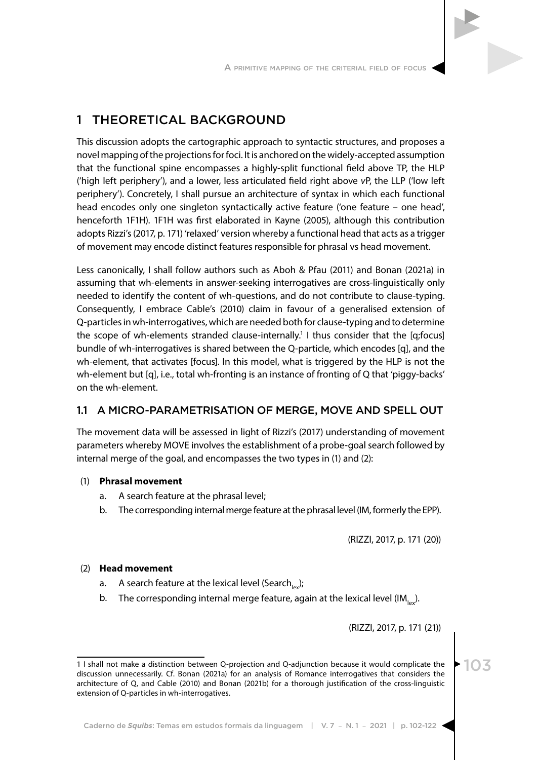# 1 THEORETICAL BACKGROUND

This discussion adopts the cartographic approach to syntactic structures, and proposes a novel mapping of the projections for foci. It is anchored on the widely-accepted assumption that the functional spine encompasses a highly-split functional field above TP, the HLP ('high left periphery'), and a lower, less articulated field right above *v*P, the LLP ('low left periphery'). Concretely, I shall pursue an architecture of syntax in which each functional head encodes only one singleton syntactically active feature ('one feature – one head', henceforth 1F1H). 1F1H was first elaborated in Kayne (2005), although this contribution adopts Rizzi's (2017, p. 171) 'relaxed' version whereby a functional head that acts as a trigger of movement may encode distinct features responsible for phrasal vs head movement.

Less canonically, I shall follow authors such as Aboh & Pfau (2011) and Bonan (2021a) in assuming that wh-elements in answer-seeking interrogatives are cross-linguistically only needed to identify the content of wh-questions, and do not contribute to clause-typing. Consequently, I embrace Cable's (2010) claim in favour of a generalised extension of Q-particles in wh-interrogatives, which are needed both for clause-typing and to determine the scope of wh-elements stranded clause-internally.<sup>1</sup> I thus consider that the [q;focus] bundle of wh-interrogatives is shared between the Q-particle, which encodes [q], and the wh-element, that activates [focus]. In this model, what is triggered by the HLP is not the wh-element but [q], i.e., total wh-fronting is an instance of fronting of Q that 'piggy-backs' on the wh-element.

## 1.1 A MICRO-PARAMETRISATION OF MERGE, MOVE AND SPELL OUT

The movement data will be assessed in light of Rizzi's (2017) understanding of movement parameters whereby MOVE involves the establishment of a probe-goal search followed by internal merge of the goal, and encompasses the two types in (1) and (2):

### (1) **Phrasal movement**

- a. A search feature at the phrasal level;
- b. The corresponding internal merge feature at the phrasal level (IM, formerly the EPP).

(RIZZI, 2017, p. 171 (20))

### (2) **Head movement**

- a. A search feature at the lexical level (Search $_{\text{loc}}$ );
- b. The corresponding internal merge feature, again at the lexical level  $(IM_{n})$ .

(RIZZI, 2017, p. 171 (21))

<sup>1</sup> I shall not make a distinction between Q-projection and Q-adjunction because it would complicate the discussion unnecessarily. Cf. Bonan (2021a) for an analysis of Romance interrogatives that considers the architecture of Q, and Cable (2010) and Bonan (2021b) for a thorough justification of the cross-linguistic extension of Q-particles in wh-interrogatives.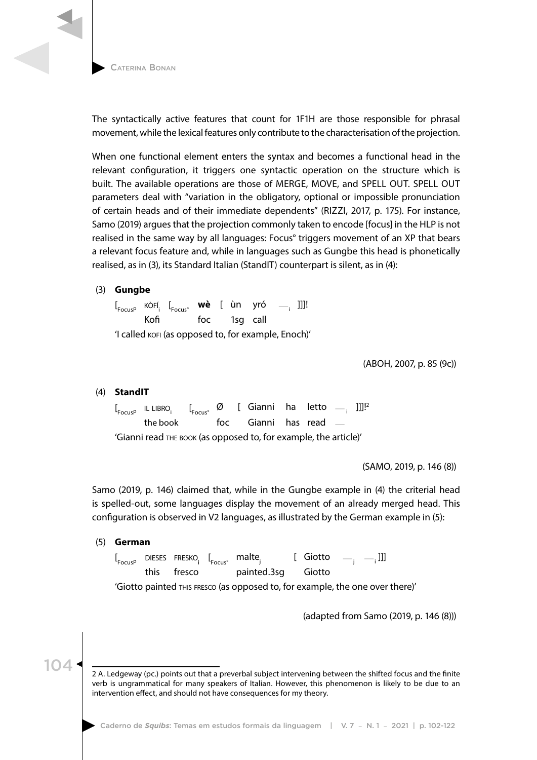

The syntactically active features that count for 1F1H are those responsible for phrasal movement, while the lexical features only contribute to the characterisation of the projection.

When one functional element enters the syntax and becomes a functional head in the relevant configuration, it triggers one syntactic operation on the structure which is built. The available operations are those of MERGE, MOVE, and SPELL OUT. SPELL OUT parameters deal with "variation in the obligatory, optional or impossible pronunciation of certain heads and of their immediate dependents" (RIZZI, 2017, p. 175). For instance, Samo (2019) argues that the projection commonly taken to encode [focus] in the HLP is not realised in the same way by all languages: Focus° triggers movement of an XP that bears a relevant focus feature and, while in languages such as Gungbe this head is phonetically realised, as in (3), its Standard Italian (StandIT) counterpart is silent, as in (4):

### (3) **Gungbe**

[ FocusP kòfí<sup>i</sup> [ Focus° **wè** [ ùn yró — <sup>i</sup> ]]]! Kofi foc 1sg call 'I called kofi (as opposed to, for example, Enoch)'

(ABOH, 2007, p. 85 (9c))

### (4) **StandIT**

 $\left[\begin{smallmatrix} 0 & 0 & 0 \end{smallmatrix}\right]$   $\left[\begin{smallmatrix} 0 & 0 & 0 \end{smallmatrix}\right]$   $\left[\begin{smallmatrix} 0 & 0 & 0 \end{smallmatrix}\right]$   $\left[\begin{smallmatrix} 0 & 0 & 0 \end{smallmatrix}\right]$   $\left[\begin{smallmatrix} 0 & 0 & 0 \end{smallmatrix}\right]$   $\left[\begin{smallmatrix} 0 & 0 & 0 \end{smallmatrix}\right]$   $\left[\begin{smallmatrix} 0 & 0 & 0 \end{smallmatrix}\right]$   $\left[\begin{smallmatrix} 0 & 0 & 0 \end{smallmatrix}\right]$   $\left[\begin$ the book foc Gianni has read — 'Gianni read the book (as opposed to, for example, the article)'

(SAMO, 2019, p. 146 (8))

Samo (2019, p. 146) claimed that, while in the Gungbe example in (4) the criterial head is spelled-out, some languages display the movement of an already merged head. This configuration is observed in V2 languages, as illustrated by the German example in (5):

(5) **German**

 $\left[\begin{smallmatrix} 1 & 0 & 0 \\ 0 & 1 & 0 \\ 0 & 0 & 0 \end{smallmatrix}\right]$   $\left[\begin{smallmatrix} 1 & 0 & 0 \\ 0 & 1 & 0 \\ 0 & 0 & 0 \end{smallmatrix}\right]$   $\left[\begin{smallmatrix} 1 & 0 & 0 \\ 0 & 1 & 0 \\ 0 & 0 & 0 \end{smallmatrix}\right]$   $\left[\begin{smallmatrix} 1 & 0 & 0 \\ 0 & 1 & 0 \\ 0 & 0 & 0 \end{smallmatrix}\right]$ this fresco painted.3sg Giotto

'Giotto painted this fresco (as opposed to, for example, the one over there)'

(adapted from Samo (2019, p. 146 (8)))

<sup>2</sup> A. Ledgeway (pc.) points out that a preverbal subject intervening between the shifted focus and the finite verb is ungrammatical for many speakers of Italian. However, this phenomenon is likely to be due to an intervention effect, and should not have consequences for my theory.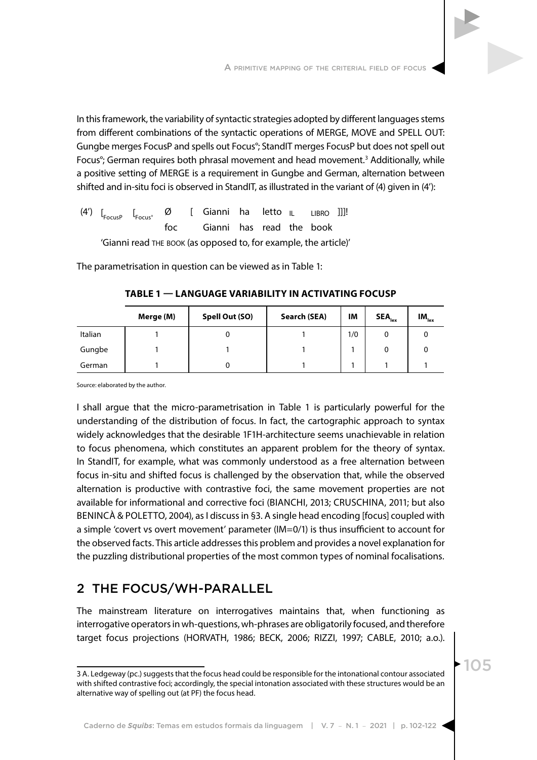In this framework, the variability of syntactic strategies adopted by different languages stems from different combinations of the syntactic operations of MERGE, MOVE and SPELL OUT: Gungbe merges FocusP and spells out Focus°; StandIT merges FocusP but does not spell out Focus<sup>°</sup>; German requires both phrasal movement and head movement.<sup>3</sup> Additionally, while a positive setting of MERGE is a requirement in Gungbe and German, alternation between shifted and in-situ foci is observed in StandIT, as illustrated in the variant of (4) given in (4'):

(4') [ FocusP [  $\emptyset$  [ Gianni ha letto  $\|$  LIBRO ]]]! foc Gianni has read the book 'Gianni read the book (as opposed to, for example, the article)'

The parametrisation in question can be viewed as in Table 1:

|         | Merge (M) | Spell Out (SO) | Search (SEA) | IM  | $\mathsf{SEA}_{\mathsf{lex}}$ | $IM_{lex}$ |
|---------|-----------|----------------|--------------|-----|-------------------------------|------------|
| Italian |           |                |              | 1/0 |                               |            |
| Gungbe  |           |                |              |     |                               |            |
| German  |           |                |              |     |                               |            |

**TABLE 1 — LANGUAGE VARIABILITY IN ACTIVATING FOCUSP**

Source: elaborated by the author.

I shall argue that the micro-parametrisation in Table 1 is particularly powerful for the understanding of the distribution of focus. In fact, the cartographic approach to syntax widely acknowledges that the desirable 1F1H-architecture seems unachievable in relation to focus phenomena, which constitutes an apparent problem for the theory of syntax. In StandIT, for example, what was commonly understood as a free alternation between focus in-situ and shifted focus is challenged by the observation that, while the observed alternation is productive with contrastive foci, the same movement properties are not available for informational and corrective foci (BIANCHI, 2013; CRUSCHINA, 2011; but also BENINCÀ & POLETTO, 2004), as I discuss in §3. A single head encoding [focus] coupled with a simple 'covert vs overt movement' parameter (IM=0/1) is thus insufficient to account for the observed facts. This article addresses this problem and provides a novel explanation for the puzzling distributional properties of the most common types of nominal focalisations.

# 2 THE FOCUS/WH-PARALLEL

The mainstream literature on interrogatives maintains that, when functioning as interrogative operators in wh-questions, wh-phrases are obligatorily focused, and therefore target focus projections (HORVATH, 1986; BECK, 2006; RIZZI, 1997; CABLE, 2010; a.o.).

<sup>3</sup> A. Ledgeway (pc.) suggests that the focus head could be responsible for the intonational contour associated with shifted contrastive foci; accordingly, the special intonation associated with these structures would be an alternative way of spelling out (at PF) the focus head.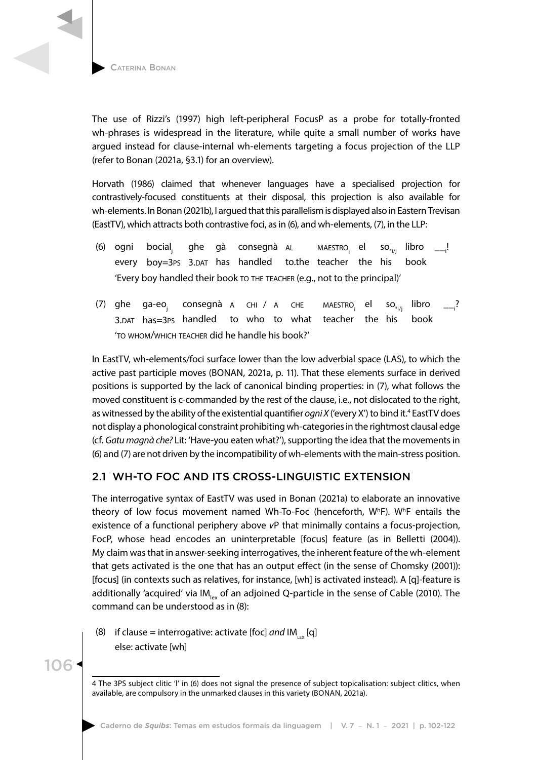

The use of Rizzi's (1997) high left-peripheral FocusP as a probe for totally-fronted wh-phrases is widespread in the literature, while quite a small number of works have argued instead for clause-internal wh-elements targeting a focus projection of the LLP (refer to Bonan (2021a, §3.1) for an overview).

Horvath (1986) claimed that whenever languages have a specialised projection for contrastively-focused constituents at their disposal, this projection is also available for wh-elements. In Bonan (2021b), I argued that this parallelism is displayed also in Eastern Trevisan (EastTV), which attracts both contrastive foci, as in (6), and wh-elements, (7), in the LLP:

- (6) ogni bocial, ghe gà consegnà AL MAESTRO el  $\mathsf{so}_{*_{i/1}}$  libro . every boy=3ps 3.DAT has handled to.the teacher the his book 'Every boy handled their book to the teacher (e.g., not to the principal)'
- (7) ghe ga-eo<sub>i</sub> consegnà a chi / a che maestro<sub>i</sub> el so<sub>\*i/i</sub> libro ? 3.dat has=3ps handled to who to what teacher the his book 'to whom/which teacher did he handle his book?'

In EastTV, wh-elements/foci surface lower than the low adverbial space (LAS), to which the active past participle moves (BONAN, 2021a, p. 11). That these elements surface in derived positions is supported by the lack of canonical binding properties: in (7), what follows the moved constituent is c-commanded by the rest of the clause, i.e., not dislocated to the right, as witnessed by the ability of the existential quantifier *ogni X* ('every X') to bind it.<sup>4</sup> EastTV does not display a phonological constraint prohibiting wh-categories in the rightmost clausal edge (cf. *Gatu magnà che?* Lit: 'Have-you eaten what?'), supporting the idea that the movements in (6) and (7) are not driven by the incompatibility of wh-elements with the main-stress position.

# 2.1 WH-TO FOC AND ITS CROSS-LINGUISTIC EXTENSION

The interrogative syntax of EastTV was used in Bonan (2021a) to elaborate an innovative theory of low focus movement named Wh-To-Foc (henceforth, W<sup>h</sup>F). W<sup>h</sup>F entails the existence of a functional periphery above *v*P that minimally contains a focus-projection, FocP, whose head encodes an uninterpretable [focus] feature (as in Belletti (2004)). My claim was that in answer-seeking interrogatives, the inherent feature of the wh-element that gets activated is the one that has an output effect (in the sense of Chomsky (2001)): [focus] (in contexts such as relatives, for instance, [wh] is activated instead). A [q]-feature is additionally 'acquired' via IM<sub>lex</sub> of an adjoined Q-particle in the sense of Cable (2010). The command can be understood as in (8):

(8) if clause = interrogative: activate [foc] and  $IM_{\text{loc}}[q]$ else: activate [wh]

106

4 The 3PS subject clitic 'l' in (6) does not signal the presence of subject topicalisation: subject clitics, when available, are compulsory in the unmarked clauses in this variety (BONAN, 2021a).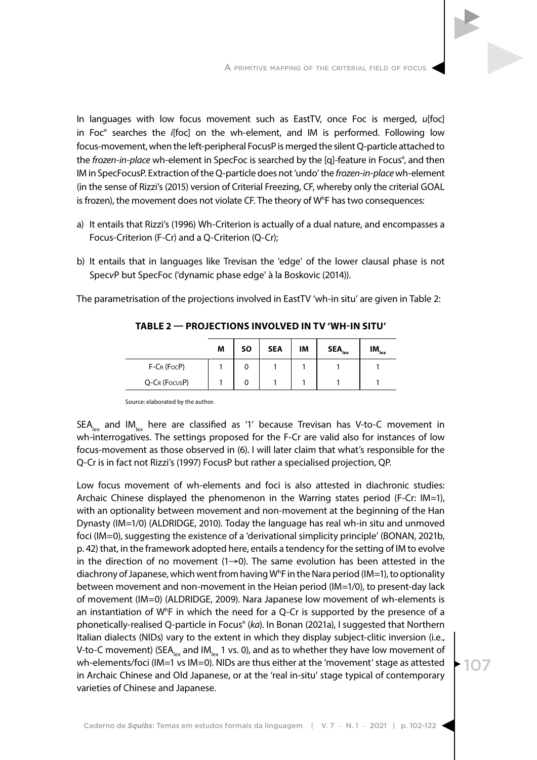In languages with low focus movement such as EastTV, once Foc is merged, *u*[foc] in Foc° searches the *i*[foc] on the wh-element, and IM is performed. Following low focus-movement, when the left-peripheral FocusP is merged the silent Q-particle attached to the *frozen-in-place* wh-element in SpecFoc is searched by the [q]-feature in Focus°, and then IM in SpecFocusP. Extraction of the Q-particle does not 'undo' the *frozen-in-place* wh-element (in the sense of Rizzi's (2015) version of Criterial Freezing, CF, whereby only the criterial GOAL is frozen), the movement does not violate CF. The theory of Wh F has two consequences:

- a) It entails that Rizzi's (1996) Wh-Criterion is actually of a dual nature, and encompasses a Focus-Criterion (F-Cr) and a Q-Criterion (Q-Cr);
- b) It entails that in languages like Trevisan the 'edge' of the lower clausal phase is not Spec*v*P but SpecFoc ('dynamic phase edge' à la Boskovic (2014)).

The parametrisation of the projections involved in EastTV 'wh-in situ' are given in Table 2:

|               | M | <b>SO</b> | <b>SEA</b> | IM | $\mathsf{SEA}_{\mathsf{lex}}$ | $IM_{lex}$ |
|---------------|---|-----------|------------|----|-------------------------------|------------|
| $F-CR$ (FocP) |   |           |            |    |                               |            |
| Q-CR (FocusP) |   |           |            |    |                               |            |

**TABLE 2 — PROJECTIONS INVOLVED IN TV 'WH-IN SITU'**

Source: elaborated by the author.

 $SEA_{\text{av}}$  and  $IM_{\text{av}}$  here are classified as '1' because Trevisan has V-to-C movement in wh-interrogatives. The settings proposed for the F-Cr are valid also for instances of low focus-movement as those observed in (6). I will later claim that what's responsible for the Q-Cr is in fact not Rizzi's (1997) FocusP but rather a specialised projection, QP.

Low focus movement of wh-elements and foci is also attested in diachronic studies: Archaic Chinese displayed the phenomenon in the Warring states period (F-Cr: IM=1), with an optionality between movement and non-movement at the beginning of the Han Dynasty (IM=1/0) (ALDRIDGE, 2010). Today the language has real wh-in situ and unmoved foci (IM=0), suggesting the existence of a 'derivational simplicity principle' (BONAN, 2021b, p. 42) that, in the framework adopted here, entails a tendency for the setting of IM to evolve in the direction of no movement  $(1\rightarrow 0)$ . The same evolution has been attested in the diachrony of Japanese, which went from having  $W^h$ F in the Nara period (IM=1), to optionality between movement and non-movement in the Heian period (IM=1/0), to present-day lack of movement (IM=0) (ALDRIDGE, 2009). Nara Japanese low movement of wh-elements is an instantiation of  $W^h$ F in which the need for a Q-Cr is supported by the presence of a phonetically-realised Q-particle in Focus° (*ka*). In Bonan (2021a), I suggested that Northern Italian dialects (NIDs) vary to the extent in which they display subject-clitic inversion (i.e., V-to-C movement) (SEA<sub>lex</sub> and IM<sub>lex</sub> 1 vs. 0), and as to whether they have low movement of wh-elements/foci (IM=1 vs IM=0). NIDs are thus either at the 'movement' stage as attested in Archaic Chinese and Old Japanese, or at the 'real in-situ' stage typical of contemporary varieties of Chinese and Japanese.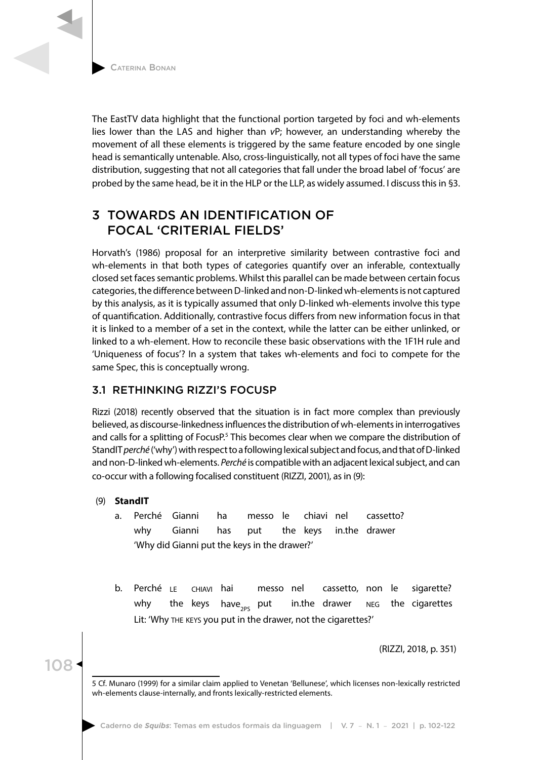The EastTV data highlight that the functional portion targeted by foci and wh-elements lies lower than the LAS and higher than *v*P; however, an understanding whereby the movement of all these elements is triggered by the same feature encoded by one single head is semantically untenable. Also, cross-linguistically, not all types of foci have the same distribution, suggesting that not all categories that fall under the broad label of 'focus' are probed by the same head, be it in the HLP or the LLP, as widely assumed. I discuss this in §3.

# 3 TOWARDS AN IDENTIFICATION OF FOCAL 'CRITERIAL FIELDS'

Horvath's (1986) proposal for an interpretive similarity between contrastive foci and wh-elements in that both types of categories quantify over an inferable, contextually closed set faces semantic problems. Whilst this parallel can be made between certain focus categories, the difference between D-linked and non-D-linked wh-elements is not captured by this analysis, as it is typically assumed that only D-linked wh-elements involve this type of quantification. Additionally, contrastive focus differs from new information focus in that it is linked to a member of a set in the context, while the latter can be either unlinked, or linked to a wh-element. How to reconcile these basic observations with the 1F1H rule and 'Uniqueness of focus'? In a system that takes wh-elements and foci to compete for the same Spec, this is conceptually wrong.

# 3.1 RETHINKING RIZZI'S FOCUSP

Rizzi (2018) recently observed that the situation is in fact more complex than previously believed, as discourse-linkedness influences the distribution of wh-elements in interrogatives and calls for a splitting of FocusP.<sup>5</sup> This becomes clear when we compare the distribution of StandIT *perché* ('why') with respect to a following lexical subject and focus, and that of D-linked and non-D-linked wh-elements. *Perché* is compatible with an adjacent lexical subject, and can co-occur with a following focalised constituent (RIZZI, 2001), as in (9):

## (9) **StandIT**

108

- a. Perché Gianni ha messo le chiavi nel cassetto? why Gianni has put the keys in.the drawer 'Why did Gianni put the keys in the drawer?'
- b. Perché le chiavi hai messo nel cassetto, non le sigarette? why the keys have<sub>zes</sub> put in.the drawer  $_{NEG}$  the cigarettes Lit: 'Why the keys you put in the drawer, not the cigarettes?'

(RIZZI, 2018, p. 351)

<sup>5</sup> Cf. Munaro (1999) for a similar claim applied to Venetan 'Bellunese', which licenses non-lexically restricted wh-elements clause-internally, and fronts lexically-restricted elements.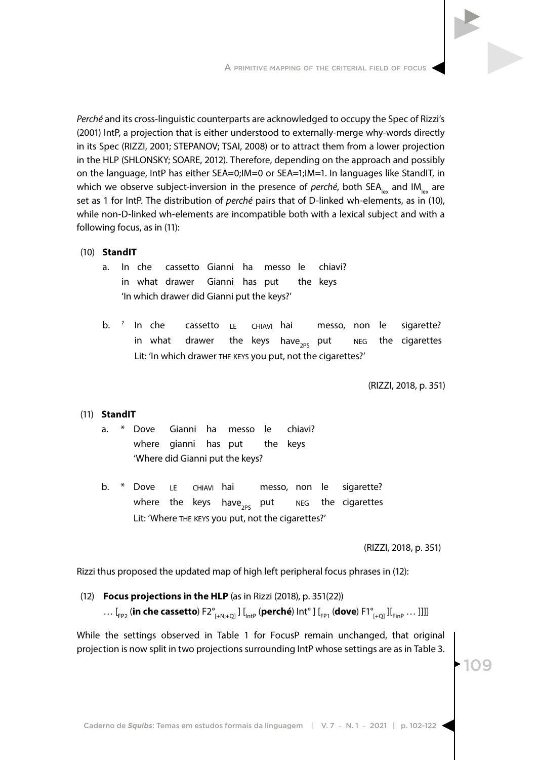*Perché* and its cross-linguistic counterparts are acknowledged to occupy the Spec of Rizzi's (2001) IntP, a projection that is either understood to externally-merge why-words directly in its Spec (RIZZI, 2001; STEPANOV; TSAI, 2008) or to attract them from a lower projection in the HLP (SHLONSKY; SOARE, 2012). Therefore, depending on the approach and possibly on the language, IntP has either SEA=0;IM=0 or SEA=1;IM=1. In languages like StandIT, in which we observe subject-inversion in the presence of *perché*, both SEA<sub>lex</sub> and IM<sub>lex</sub> are set as 1 for IntP. The distribution of *perché* pairs that of D-linked wh-elements, as in (10), while non-D-linked wh-elements are incompatible both with a lexical subject and with a following focus, as in (11):

#### (10) **StandIT**

- a. In che cassetto Gianni ha messo le chiavi? in what drawer Gianni has put the keys 'In which drawer did Gianni put the keys?'
- b. <sup>?</sup> In che cassetto LE CHIAVI hai messo, non le sigarette? in what drawer the keys have<sub>2PS</sub> put  $NEG$  the cigarettes Lit: 'In which drawer the keys you put, not the cigarettes?'

(RIZZI, 2018, p. 351)

#### (11) **StandIT**

- a. \* Dove Gianni ha messo le chiavi? where gianni has put the keys 'Where did Gianni put the keys?
- b. \* Dove LE CHIAVI hai messo, non le sigarette? where the keys have<sub>2PS</sub> put  $NEG$  the cigarettes Lit: 'Where THE KEYS you put, not the cigarettes?'

(RIZZI, 2018, p. 351)

Rizzi thus proposed the updated map of high left peripheral focus phrases in (12):

#### (12) **Focus projections in the HLP** (as in Rizzi (2018), p. 351(22))

… [<sub>FP2</sub> (in che cassetto) F2<sup>°</sup><sub>[+N:+O]</sub> ] [<sub>IntP</sub> (perché) Int<sup>°</sup> ] [<sub>FP1</sub> (dove) F1<sup>°</sup><sub>[+O]</sub> ][<sub>FinP</sub> ... ]]]]

While the settings observed in Table 1 for FocusP remain unchanged, that original projection is now split in two projections surrounding IntP whose settings are as in Table 3.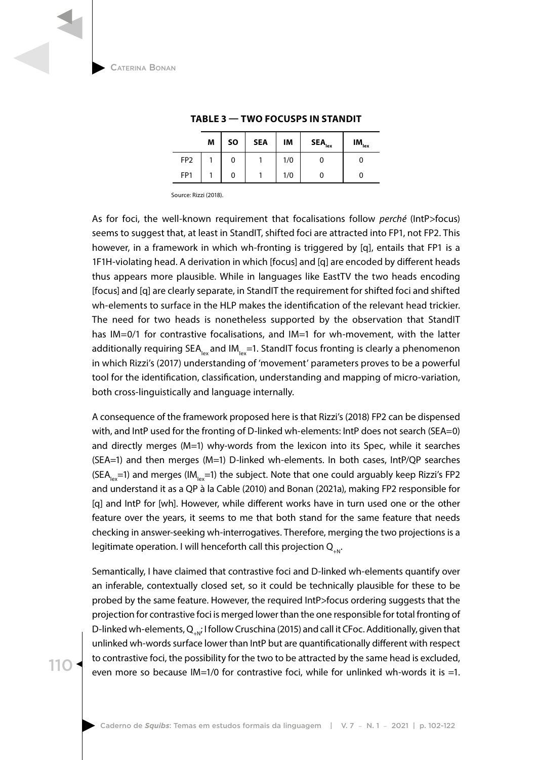|                 | M | <b>SO</b> | <b>SEA</b> | IM  | SEA <sub>lex</sub> | $IM_{\rm lex}$ |
|-----------------|---|-----------|------------|-----|--------------------|----------------|
| FP <sub>2</sub> |   | 0         |            | 1/0 |                    |                |
| FP <sub>1</sub> |   | 0         |            | 1/0 |                    |                |
|                 |   |           |            |     |                    |                |

#### **TABLE 3 — TWO FOCUSPS IN STANDIT**

Source: Rizzi (2018).

As for foci, the well-known requirement that focalisations follow *perché* (IntP>focus) seems to suggest that, at least in StandIT, shifted foci are attracted into FP1, not FP2. This however, in a framework in which wh-fronting is triggered by [q], entails that FP1 is a 1F1H-violating head. A derivation in which [focus] and [q] are encoded by different heads thus appears more plausible. While in languages like EastTV the two heads encoding [focus] and [q] are clearly separate, in StandIT the requirement for shifted foci and shifted wh-elements to surface in the HLP makes the identification of the relevant head trickier. The need for two heads is nonetheless supported by the observation that StandIT has IM=0/1 for contrastive focalisations, and IM=1 for wh-movement, with the latter additionally requiring  $SEA<sub>lex</sub>$  and IM<sub>lex</sub>=1. StandIT focus fronting is clearly a phenomenon in which Rizzi's (2017) understanding of 'movement' parameters proves to be a powerful tool for the identification, classification, understanding and mapping of micro-variation, both cross-linguistically and language internally.

A consequence of the framework proposed here is that Rizzi's (2018) FP2 can be dispensed with, and IntP used for the fronting of D-linked wh-elements: IntP does not search (SEA=0) and directly merges (M=1) why-words from the lexicon into its Spec, while it searches (SEA=1) and then merges (M=1) D-linked wh-elements. In both cases, IntP/QP searches (SEA<sub>lex</sub>=1) and merges (IM<sub>lex</sub>=1) the subject. Note that one could arguably keep Rizzi's FP2 and understand it as a QP à la Cable (2010) and Bonan (2021a), making FP2 responsible for [q] and IntP for [wh]. However, while different works have in turn used one or the other feature over the years, it seems to me that both stand for the same feature that needs checking in answer-seeking wh-interrogatives. Therefore, merging the two projections is a legitimate operation. I will henceforth call this projection  $Q_{\text{av}}$ .

Semantically, I have claimed that contrastive foci and D-linked wh-elements quantify over an inferable, contextually closed set, so it could be technically plausible for these to be probed by the same feature. However, the required IntP>focus ordering suggests that the projection for contrastive foci is merged lower than the one responsible for total fronting of D-linked wh-elements,  $Q_{N}$ ; I follow Cruschina (2015) and call it CFoc. Additionally, given that unlinked wh-words surface lower than IntP but are quantificationally different with respect to contrastive foci, the possibility for the two to be attracted by the same head is excluded, even more so because IM=1/0 for contrastive foci, while for unlinked wh-words it is =1.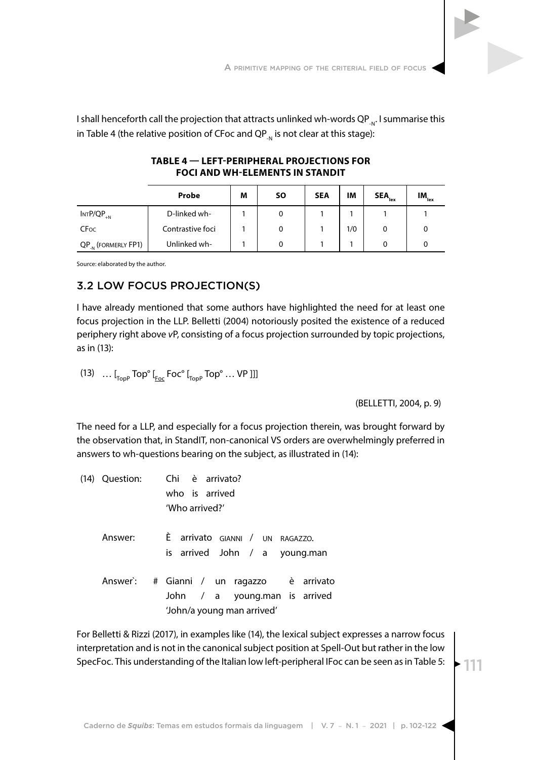

|                         | Probe            | M | <b>SO</b> | <b>SEA</b> | ΙM  | $\textsf{SEA}_{\sf lex}$ | $IM_{lex}$ |
|-------------------------|------------------|---|-----------|------------|-----|--------------------------|------------|
| $INTP/QP_{+N}$          | D-linked wh-     |   |           |            |     |                          |            |
| <b>CFoc</b>             | Contrastive foci |   | 0         |            | 1/0 |                          |            |
| $QP_{N}$ (formerly FP1) | Unlinked wh-     |   |           |            |     |                          |            |

### **TABLE 4 — LEFT-PERIPHERAL PROJECTIONS FOR FOCI AND WH-ELEMENTS IN STANDIT**

Source: elaborated by the author.

# 3.2 LOW FOCUS PROJECTION(S)

I have already mentioned that some authors have highlighted the need for at least one focus projection in the LLP. Belletti (2004) notoriously posited the existence of a reduced periphery right above *v*P, consisting of a focus projection surrounded by topic projections, as in (13):

(13)  $\ldots$  [<sub>TopP</sub> Top<sup>o</sup> [<sub>Foc</sub> Foc<sup>o</sup> [<sub>TopP</sub> Top<sup>o</sup> ... VP ]]]

(BELLETTI, 2004, p. 9)

The need for a LLP, and especially for a focus projection therein, was brought forward by the observation that, in StandIT, non-canonical VS orders are overwhelmingly preferred in answers to wh-questions bearing on the subject, as illustrated in (14):

|         | (14) Question: Chi è arrivato?<br>who is arrived<br>'Who arrived?'                                      |
|---------|---------------------------------------------------------------------------------------------------------|
| Answer: | È arrivato GIANNI / UN RAGAZZO.<br>is arrived John / a young.man                                        |
|         | Answer: # Gianni / un ragazzo è arrivato<br>John / a young.man is arrived<br>'John/a young man arrived' |

For Belletti & Rizzi (2017), in examples like (14), the lexical subject expresses a narrow focus interpretation and is not in the canonical subject position at Spell-Out but rather in the low SpecFoc. This understanding of the Italian low left-peripheral IFoc can be seen as in Table 5: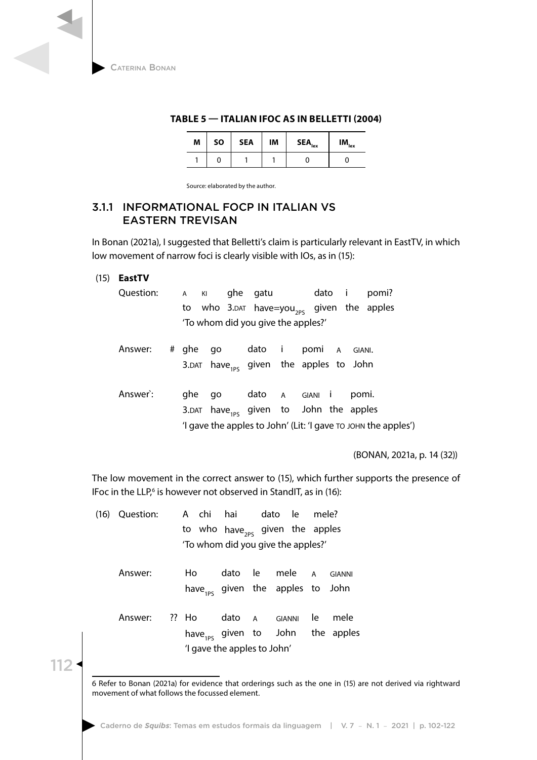| M | <b>SO</b> | <b>SEA</b> | IM | SEA <sub>lex</sub> | $\mathsf{IM}_{\mathsf{lex}}$ |
|---|-----------|------------|----|--------------------|------------------------------|
|   |           |            |    |                    |                              |

### **TABLE 5 — ITALIAN IFOC AS IN BELLETTI (2004)**

Source: elaborated by the author.

## 3.1.1 INFORMATIONAL FOCP IN ITALIAN VS EASTERN TREVISAN

In Bonan (2021a), I suggested that Belletti's claim is particularly relevant in EastTV, in which low movement of narrow foci is clearly visible with IOs, as in (15):

### (15) **EastTV**

| Question: A KI ghe gatu |  |                  |                                                                                                                         |  | dato i pomi? |
|-------------------------|--|------------------|-------------------------------------------------------------------------------------------------------------------------|--|--------------|
|                         |  |                  | to who 3.DAT have=you <sub>2ps</sub> given the apples                                                                   |  |              |
|                         |  |                  | 'To whom did you give the apples?'                                                                                      |  |              |
|                         |  | المتحدث المتماسم | and the state of the state of the state of the state of the state of the state of the state of the state of the<br>---- |  |              |

- Answer: # ghe go dato i pomi a giani. 3.DAT have<sub>1PS</sub> given the apples to John
- Answer': ghe go dato A GIANI i pomi. 3.DAT have<sub>1ps</sub> given to John the apples 'I gave the apples to John' (Lit: 'I gave to john the apples')

(BONAN, 2021a, p. 14 (32))

The low movement in the correct answer to (15), which further supports the presence of IFoc in the LLP,<sup>6</sup> is however not observed in StandIT, as in (16):

| (16) Question: |       | A chi hai dato le                                              |  |  | mele? |                                                      |  |
|----------------|-------|----------------------------------------------------------------|--|--|-------|------------------------------------------------------|--|
|                |       | to who have <sub>2ps</sub> given the apples                    |  |  |       |                                                      |  |
|                |       | 'To whom did you give the apples?'                             |  |  |       |                                                      |  |
| Answer:        | Ho    | dato le mele A<br>have <sub>1ps</sub> given the apples to John |  |  |       | <b>GIANNI</b>                                        |  |
| Answer:        | ?? Ho | dato A GIANNI<br>'I gave the apples to John'                   |  |  | le l  | mele<br>have <sub>1ps</sub> given to John the apples |  |

<sup>6</sup> Refer to Bonan (2021a) for evidence that orderings such as the one in (15) are not derived via rightward movement of what follows the focussed element.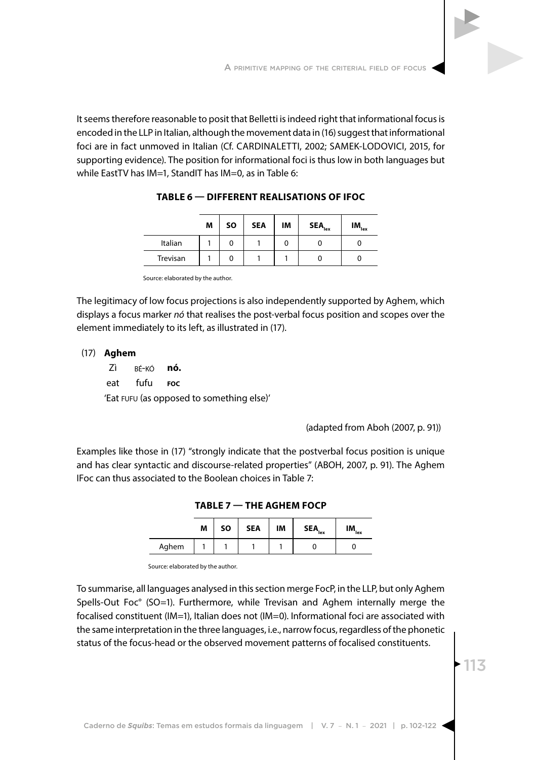It seems therefore reasonable to posit that Belletti is indeed right that informational focus is encoded in the LLP in Italian, although the movement data in (16) suggest that informational foci are in fact unmoved in Italian (Cf. CARDINALETTI, 2002; SAMEK-LODOVICI, 2015, for supporting evidence). The position for informational foci is thus low in both languages but while EastTV has IM=1, StandIT has IM=0, as in Table 6:

|          | M | <b>SO</b> | <b>SEA</b> | IM | $\mathsf{SEA}_{\mathsf{lex}}$ | ıм<br>'lex |
|----------|---|-----------|------------|----|-------------------------------|------------|
| Italian  |   | U         |            |    |                               |            |
| Trevisan |   |           |            |    |                               |            |

**TABLE 6 — DIFFERENT REALISATIONS OF IFOC**

Source: elaborated by the author.

The legitimacy of low focus projections is also independently supported by Aghem, which displays a focus marker *nó* that realises the post-verbal focus position and scopes over the element immediately to its left, as illustrated in (17).

### (17) **Aghem**

Zì bé-kó **nó.** eat fufu **foc** 'Eat fufu (as opposed to something else)'

(adapted from Aboh (2007, p. 91))

Examples like those in (17) "strongly indicate that the postverbal focus position is unique and has clear syntactic and discourse-related properties" (ABOH, 2007, p. 91). The Aghem IFoc can thus associated to the Boolean choices in Table 7:

**TABLE 7 — THE AGHEM FOCP**

|       | M | SΟ | <b>SEA</b> | IM | $\mathsf{SEA}_{\mathsf{lex}}$ | $IM_{lex}$ |
|-------|---|----|------------|----|-------------------------------|------------|
| Aghem |   |    |            |    |                               |            |

Source: elaborated by the author.

To summarise, all languages analysed in this section merge FocP, in the LLP, but only Aghem Spells-Out Foc° (SO=1). Furthermore, while Trevisan and Aghem internally merge the focalised constituent (IM=1), Italian does not (IM=0). Informational foci are associated with the same interpretation in the three languages, i.e., narrow focus, regardless of the phonetic status of the focus-head or the observed movement patterns of focalised constituents.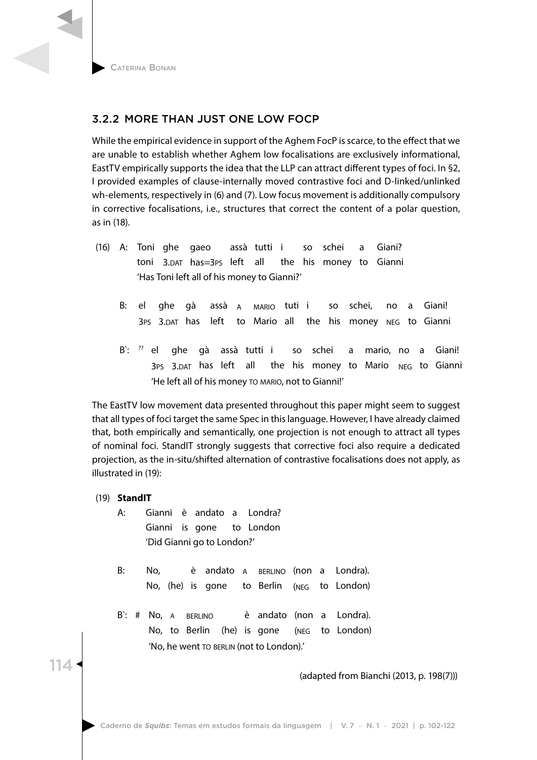# 3.2.2 MORE THAN JUST ONE LOW FOCP

While the empirical evidence in support of the Aghem FocP is scarce, to the effect that we are unable to establish whether Aghem low focalisations are exclusively informational, EastTV empirically supports the idea that the LLP can attract different types of foci. In §2, I provided examples of clause-internally moved contrastive foci and D-linked/unlinked wh-elements, respectively in (6) and (7). Low focus movement is additionally compulsory in corrective focalisations, i.e., structures that correct the content of a polar question, as in (18).

- (16) A: Toni ghe gaeo assà tutti i so schei a Giani? toni 3.dat has=3ps left all the his money to Gianni 'Has Toni left all of his money to Gianni?'
	- B: el ghe gà assà a mario tuti i so schei, no a Giani! 3PS 3.DAT has left to Mario all the his money NEG to Gianni
	- B`: <sup>??</sup> el ghe gà assà tutti i so schei a mario, no a Giani! 3PS 3.DAT has left all the his money to Mario NEG to Gianni 'He left all of his money to mario, not to Gianni!'

The EastTV low movement data presented throughout this paper might seem to suggest that all types of foci target the same Spec in this language. However, I have already claimed that, both empirically and semantically, one projection is not enough to attract all types of nominal foci. StandIT strongly suggests that corrective foci also require a dedicated projection, as the in-situ/shifted alternation of contrastive focalisations does not apply, as illustrated in (19):

(19) **StandIT**

114

- A: Gianni è andato a Londra? Gianni is gone to London 'Did Gianni go to London?'
- B: No, è andato A BERLINO (non a Londra). No, (he) is gone to Berlin (neg to London)
- B: # No, A BERLINO è andato (non a Londra). No, to Berlin (he) is gone (neg to London) 'No, he went to BERLIN (not to London).'

(adapted from Bianchi (2013, p. 198(7)))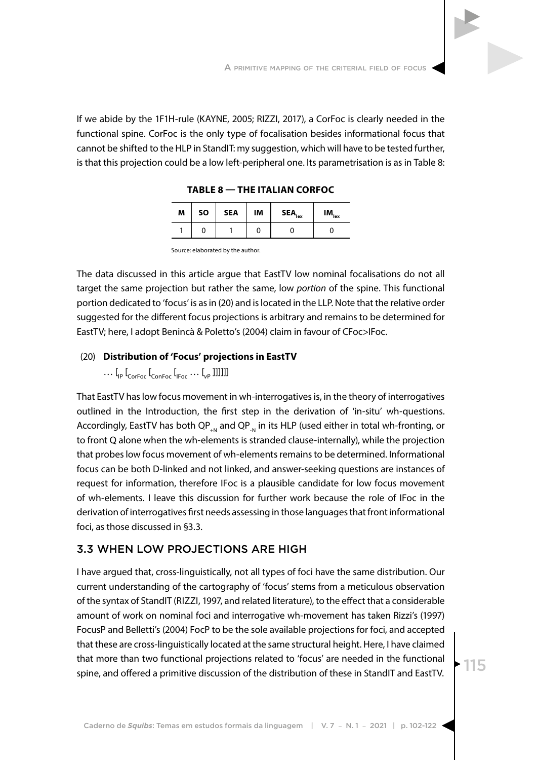If we abide by the 1F1H-rule (KAYNE, 2005; RIZZI, 2017), a CorFoc is clearly needed in the functional spine. CorFoc is the only type of focalisation besides informational focus that cannot be shifted to the HLP in StandIT: my suggestion, which will have to be tested further, is that this projection could be a low left-peripheral one. Its parametrisation is as in Table 8:

| M | SO | <b>SEA</b> | IM | $SEA$ <sub>lex</sub> | $IM_{lex}$ |
|---|----|------------|----|----------------------|------------|
|   |    |            |    |                      |            |

Source: elaborated by the author.

The data discussed in this article argue that EastTV low nominal focalisations do not all target the same projection but rather the same, low *portion* of the spine. This functional portion dedicated to 'focus' is as in (20) and is located in the LLP. Note that the relative order suggested for the different focus projections is arbitrary and remains to be determined for EastTV; here, I adopt Benincà & Poletto's (2004) claim in favour of CFoc>IFoc.

#### (20) **Distribution of 'Focus' projections in EastTV**

 $\ldots$  [<sub>IP</sub> [<sub>CorFoc</sub> [<sub>ConFoc</sub> [<sub>IFoc</sub>  $\ldots$  [<sub>VP</sub> ]]]]]]]

That EastTV has low focus movement in wh-interrogatives is, in the theory of interrogatives outlined in the Introduction, the first step in the derivation of 'in-situ' wh-questions. Accordingly, EastTV has both QP<sub>+N</sub> and QP<sub>-N</sub> in its HLP (used either in total wh-fronting, or to front Q alone when the wh-elements is stranded clause-internally), while the projection that probes low focus movement of wh-elements remains to be determined. Informational focus can be both D-linked and not linked, and answer-seeking questions are instances of request for information, therefore IFoc is a plausible candidate for low focus movement of wh-elements. I leave this discussion for further work because the role of IFoc in the derivation of interrogatives first needs assessing in those languages that front informational foci, as those discussed in §3.3.

### 3.3 WHEN LOW PROJECTIONS ARE HIGH

I have argued that, cross-linguistically, not all types of foci have the same distribution. Our current understanding of the cartography of 'focus' stems from a meticulous observation of the syntax of StandIT (RIZZI, 1997, and related literature), to the effect that a considerable amount of work on nominal foci and interrogative wh-movement has taken Rizzi's (1997) FocusP and Belletti's (2004) FocP to be the sole available projections for foci, and accepted that these are cross-linguistically located at the same structural height. Here, I have claimed that more than two functional projections related to 'focus' are needed in the functional spine, and offered a primitive discussion of the distribution of these in StandIT and EastTV.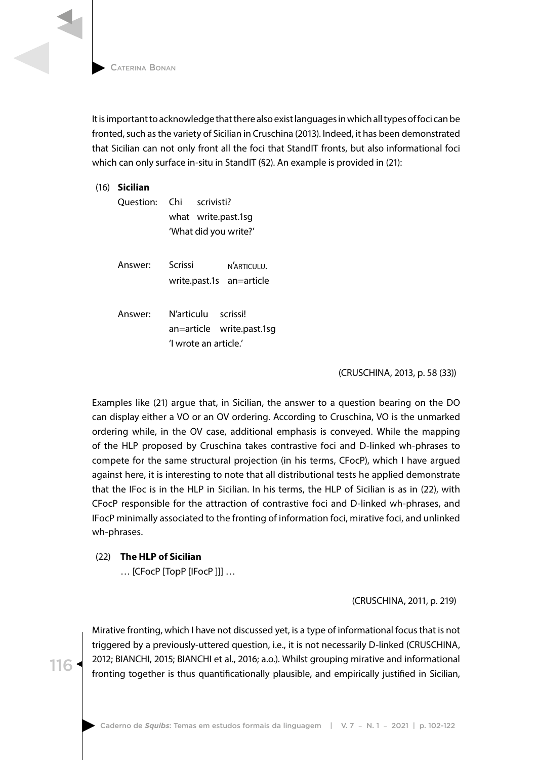It is important to acknowledge that there also exist languages in which all types of foci can be fronted, such as the variety of Sicilian in Cruschina (2013). Indeed, it has been demonstrated that Sicilian can not only front all the foci that StandIT fronts, but also informational foci which can only surface in-situ in StandIT (§2). An example is provided in (21):

|  | $(16)$ Sicilian |                                                                           |  |  |  |  |  |
|--|-----------------|---------------------------------------------------------------------------|--|--|--|--|--|
|  | Ouestion:       | Chi scrivisti?<br>what write.past.1sg<br>'What did you write?'            |  |  |  |  |  |
|  | Answer:         | Scrissi<br>N'ARTICULU.<br>write.past.1s an=article                        |  |  |  |  |  |
|  | Answer:         | N'articulu scrissi!<br>an=article write.past.1sg<br>'l wrote an article.' |  |  |  |  |  |

(CRUSCHINA, 2013, p. 58 (33))

Examples like (21) argue that, in Sicilian, the answer to a question bearing on the DO can display either a VO or an OV ordering. According to Cruschina, VO is the unmarked ordering while, in the OV case, additional emphasis is conveyed. While the mapping of the HLP proposed by Cruschina takes contrastive foci and D-linked wh-phrases to compete for the same structural projection (in his terms, CFocP), which I have argued against here, it is interesting to note that all distributional tests he applied demonstrate that the IFoc is in the HLP in Sicilian. In his terms, the HLP of Sicilian is as in (22), with CFocP responsible for the attraction of contrastive foci and D-linked wh-phrases, and IFocP minimally associated to the fronting of information foci, mirative foci, and unlinked wh-phrases.

### (22) **The HLP of Sicilian**

116

… [CFocP [TopP [IFocP ]]] …

(CRUSCHINA, 2011, p. 219)

Mirative fronting, which I have not discussed yet, is a type of informational focus that is not triggered by a previously-uttered question, i.e., it is not necessarily D-linked (CRUSCHINA, 2012; BIANCHI, 2015; BIANCHI et al., 2016; a.o.). Whilst grouping mirative and informational fronting together is thus quantificationally plausible, and empirically justified in Sicilian,

Caderno de *Squibs*: Temas em estudos formais da linguagem | V. 7 – N. 1 – 2021 | p. 102-122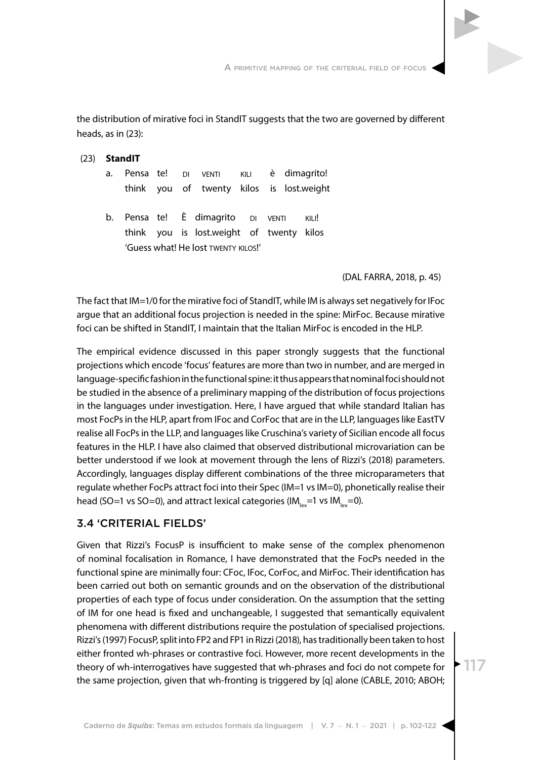A primitive mapping of the criterial field of focus

the distribution of mirative foci in StandIT suggests that the two are governed by different heads, as in (23):

| <b>StandIT</b> |  |  |  |                                                                               |  |                                      |  |       |  |  |  |
|----------------|--|--|--|-------------------------------------------------------------------------------|--|--------------------------------------|--|-------|--|--|--|
| a.             |  |  |  |                                                                               |  | Pensa te! DI VENTI KILI è dimagrito! |  |       |  |  |  |
|                |  |  |  | think you of twenty kilos is lost.weight                                      |  |                                      |  |       |  |  |  |
|                |  |  |  | b. Pensa te! È dimagrito DI VENTI<br>think you is lost.weight of twenty kilos |  |                                      |  | KILI! |  |  |  |
|                |  |  |  | 'Guess what! He lost TWENTY KILOS!'                                           |  |                                      |  |       |  |  |  |

(DAL FARRA, 2018, p. 45)

The fact that IM=1/0 for the mirative foci of StandIT, while IM is always set negatively for IFoc argue that an additional focus projection is needed in the spine: MirFoc. Because mirative foci can be shifted in StandIT, I maintain that the Italian MirFoc is encoded in the HLP.

The empirical evidence discussed in this paper strongly suggests that the functional projections which encode 'focus' features are more than two in number, and are merged in language-specific fashion in the functional spine: it thus appears that nominal foci should not be studied in the absence of a preliminary mapping of the distribution of focus projections in the languages under investigation. Here, I have argued that while standard Italian has most FocPs in the HLP, apart from IFoc and CorFoc that are in the LLP, languages like EastTV realise all FocPs in the LLP, and languages like Cruschina's variety of Sicilian encode all focus features in the HLP. I have also claimed that observed distributional microvariation can be better understood if we look at movement through the lens of Rizzi's (2018) parameters. Accordingly, languages display different combinations of the three microparameters that regulate whether FocPs attract foci into their Spec (IM=1 vs IM=0), phonetically realise their head (SO=1 vs SO=0), and attract lexical categories (IM<sub>lex</sub>=1 vs IM<sub>lex</sub>=0).

# 3.4 'CRITERIAL FIELDS'

 $(23)$ 

Given that Rizzi's FocusP is insufficient to make sense of the complex phenomenon of nominal focalisation in Romance, I have demonstrated that the FocPs needed in the functional spine are minimally four: CFoc, IFoc, CorFoc, and MirFoc. Their identification has been carried out both on semantic grounds and on the observation of the distributional properties of each type of focus under consideration. On the assumption that the setting of IM for one head is fixed and unchangeable, I suggested that semantically equivalent phenomena with different distributions require the postulation of specialised projections. Rizzi's (1997) FocusP, split into FP2 and FP1 in Rizzi (2018), has traditionally been taken to host either fronted wh-phrases or contrastive foci. However, more recent developments in the theory of wh-interrogatives have suggested that wh-phrases and foci do not compete for the same projection, given that wh-fronting is triggered by [q] alone (CABLE, 2010; ABOH;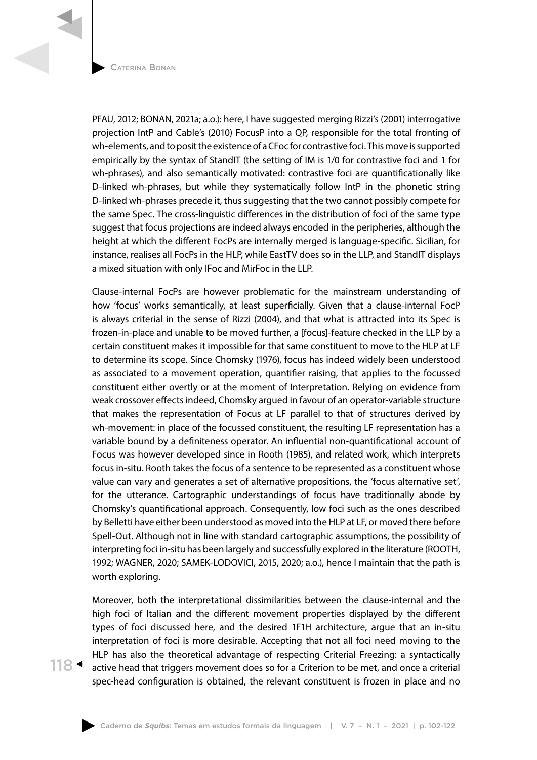Caterina Bonan

PFAU, 2012; BONAN, 2021a; a.o.): here, I have suggested merging Rizzi's (2001) interrogative projection IntP and Cable's (2010) FocusP into a QP, responsible for the total fronting of wh-elements, and to posit the existence of a CFoc for contrastive foci. This move is supported empirically by the syntax of StandIT (the setting of IM is 1/0 for contrastive foci and 1 for wh-phrases), and also semantically motivated: contrastive foci are quantificationally like D-linked wh-phrases, but while they systematically follow IntP in the phonetic string D-linked wh-phrases precede it, thus suggesting that the two cannot possibly compete for the same Spec. The cross-linguistic differences in the distribution of foci of the same type suggest that focus projections are indeed always encoded in the peripheries, although the height at which the different FocPs are internally merged is language-specific. Sicilian, for instance, realises all FocPs in the HLP, while EastTV does so in the LLP, and StandIT displays a mixed situation with only IFoc and MirFoc in the LLP.

Clause-internal FocPs are however problematic for the mainstream understanding of how 'focus' works semantically, at least superficially. Given that a clause-internal FocP is always criterial in the sense of Rizzi (2004), and that what is attracted into its Spec is frozen-in-place and unable to be moved further, a [focus]-feature checked in the LLP by a certain constituent makes it impossible for that same constituent to move to the HLP at LF to determine its scope. Since Chomsky (1976), focus has indeed widely been understood as associated to a movement operation, quantifier raising, that applies to the focussed constituent either overtly or at the moment of Interpretation. Relying on evidence from weak crossover effects indeed, Chomsky argued in favour of an operator-variable structure that makes the representation of Focus at LF parallel to that of structures derived by wh-movement: in place of the focussed constituent, the resulting LF representation has a variable bound by a definiteness operator. An influential non-quantificational account of Focus was however developed since in Rooth (1985), and related work, which interprets focus in-situ. Rooth takes the focus of a sentence to be represented as a constituent whose value can vary and generates a set of alternative propositions, the 'focus alternative set', for the utterance. Cartographic understandings of focus have traditionally abode by Chomsky's quantificational approach. Consequently, low foci such as the ones described by Belletti have either been understood as moved into the HLP at LF, or moved there before Spell-Out. Although not in line with standard cartographic assumptions, the possibility of interpreting foci in-situ has been largely and successfully explored in the literature (ROOTH, 1992; WAGNER, 2020; SAMEK-LODOVICI, 2015, 2020; a.o.), hence I maintain that the path is worth exploring.

Moreover, both the interpretational dissimilarities between the clause-internal and the high foci of Italian and the different movement properties displayed by the different types of foci discussed here, and the desired 1F1H architecture, argue that an in-situ interpretation of foci is more desirable. Accepting that not all foci need moving to the HLP has also the theoretical advantage of respecting Criterial Freezing: a syntactically active head that triggers movement does so for a Criterion to be met, and once a criterial spec-head configuration is obtained, the relevant constituent is frozen in place and no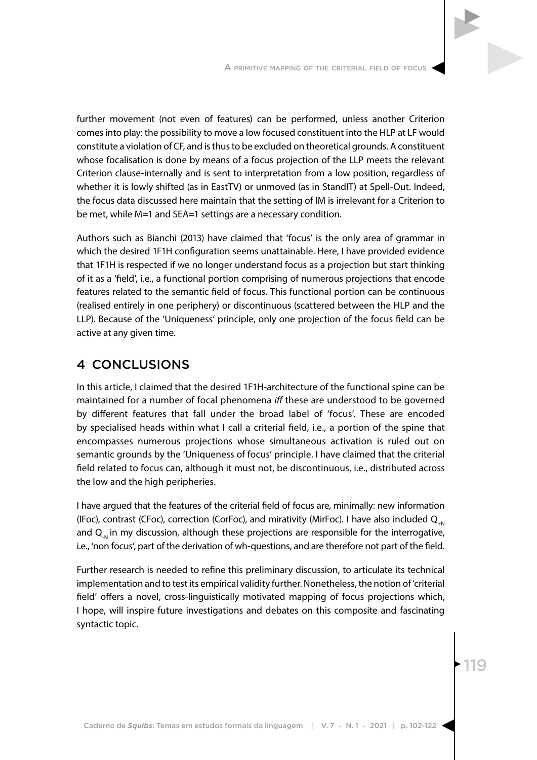

Authors such as Bianchi (2013) have claimed that 'focus' is the only area of grammar in which the desired 1F1H configuration seems unattainable. Here, I have provided evidence that 1F1H is respected if we no longer understand focus as a projection but start thinking of it as a 'field', i.e., a functional portion comprising of numerous projections that encode features related to the semantic field of focus. This functional portion can be continuous (realised entirely in one periphery) or discontinuous (scattered between the HLP and the LLP). Because of the 'Uniqueness' principle, only one projection of the focus field can be active at any given time.

# 4 CONCLUSIONS

In this article, I claimed that the desired 1F1H-architecture of the functional spine can be maintained for a number of focal phenomena *iff* these are understood to be governed by different features that fall under the broad label of 'focus'. These are encoded by specialised heads within what I call a criterial field, i.e., a portion of the spine that encompasses numerous projections whose simultaneous activation is ruled out on semantic grounds by the 'Uniqueness of focus' principle. I have claimed that the criterial field related to focus can, although it must not, be discontinuous, i.e., distributed across the low and the high peripheries.

I have argued that the features of the criterial field of focus are, minimally: new information (IFoc), contrast (CFoc), correction (CorFoc), and mirativity (MirFoc). I have also included  $Q_{N}$ and  $Q_{N}$  in my discussion, although these projections are responsible for the interrogative, i.e., 'non focus', part of the derivation of wh-questions, and are therefore not part of the field.

Further research is needed to refine this preliminary discussion, to articulate its technical implementation and to test its empirical validity further. Nonetheless, the notion of 'criterial field' offers a novel, cross-linguistically motivated mapping of focus projections which, I hope, will inspire future investigations and debates on this composite and fascinating syntactic topic.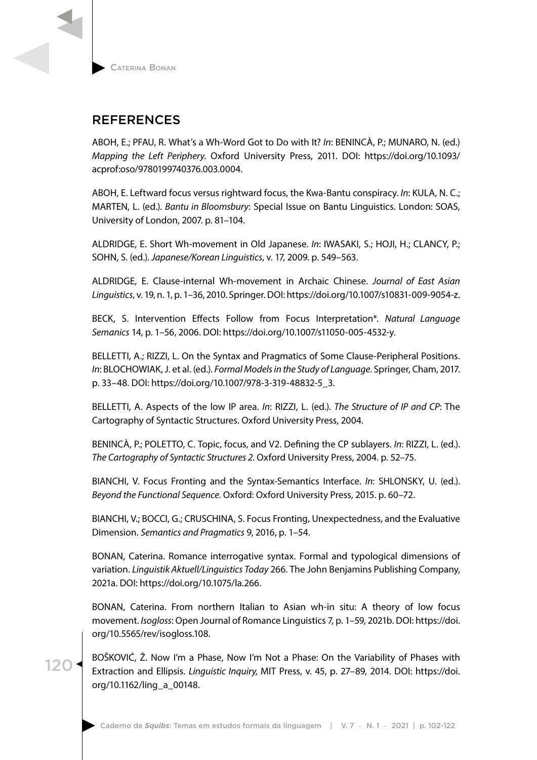

120

# REFERENCES

ABOH, E.; PFAU, R. What's a Wh-Word Got to Do with It? *In*: BENINCÀ, P.; MUNARO, N. (ed.) *Mapping the Left Periphery*. Oxford University Press, 2011. DOI: https://doi.org/10.1093/ acprof:oso/9780199740376.003.0004.

ABOH, E. Leftward focus versus rightward focus, the Kwa-Bantu conspiracy. *In*: KULA, N. C.; MARTEN, L. (ed.). *Bantu in Bloomsbury*: Special Issue on Bantu Linguistics. London: SOAS, University of London, 2007. p. 81–104.

ALDRIDGE, E. Short Wh-movement in Old Japanese. *In*: IWASAKI, S.; HOJI, H.; CLANCY, P.; SOHN, S. (ed.). *Japanese/Korean Linguistics*, v. 17, 2009. p. 549–563.

ALDRIDGE, E. Clause-internal Wh-movement in Archaic Chinese. *Journal of East Asian Linguistics*, v. 19, n. 1, p. 1–36, 2010. Springer. DOI: https://doi.org/10.1007/s10831-009-9054-z.

BECK, S. Intervention Effects Follow from Focus Interpretation\*. *Natural Language Semanics* 14, p. 1–56, 2006. DOI: https://doi.org/10.1007/s11050-005-4532-y.

BELLETTI, A.; RIZZI, L. On the Syntax and Pragmatics of Some Clause-Peripheral Positions. *In*: BLOCHOWIAK, J. et al. (ed.). *Formal Models in the Study of Language*. Springer, Cham, 2017. p. 33–48. DOI: https://doi.org/10.1007/978-3-319-48832-5\_3.

BELLETTI, A. Aspects of the low IP area. *In*: RIZZI, L. (ed.). *The Structure of IP and CP*: The Cartography of Syntactic Structures. Oxford University Press, 2004.

BENINCÀ, P.; POLETTO, C. Topic, focus, and V2. Defining the CP sublayers. *In*: RIZZI, L. (ed.). *The Cartography of Syntactic Structures 2*. Oxford University Press, 2004. p. 52–75.

BIANCHI, V. Focus Fronting and the Syntax-Semantics Interface. *In*: SHLONSKY, U. (ed.). *Beyond the Functional Sequence*. Oxford: Oxford University Press, 2015. p. 60–72.

BIANCHI, V.; BOCCI, G.; CRUSCHINA, S. Focus Fronting, Unexpectedness, and the Evaluative Dimension. *Semantics and Pragmatics* 9, 2016, p. 1–54.

BONAN, Caterina. Romance interrogative syntax. Formal and typological dimensions of variation. *Linguistik Aktuell/Linguistics Today* 266. The John Benjamins Publishing Company, 2021a. DOI: https://doi.org/10.1075/la.266.

BONAN, Caterina. From northern Italian to Asian wh-in situ: A theory of low focus movement. *Isogloss*: Open Journal of Romance Linguistics 7, p. 1–59, 2021b. DOI: https://doi. org/10.5565/rev/isogloss.108.

BOŠKOVIĆ, Ž. Now I'm a Phase, Now I'm Not a Phase: On the Variability of Phases with Extraction and Ellipsis. *Linguistic Inquiry,* MIT Press, v. 45, p. 27–89, 2014. DOI: https://doi. org/10.1162/ling\_a\_00148.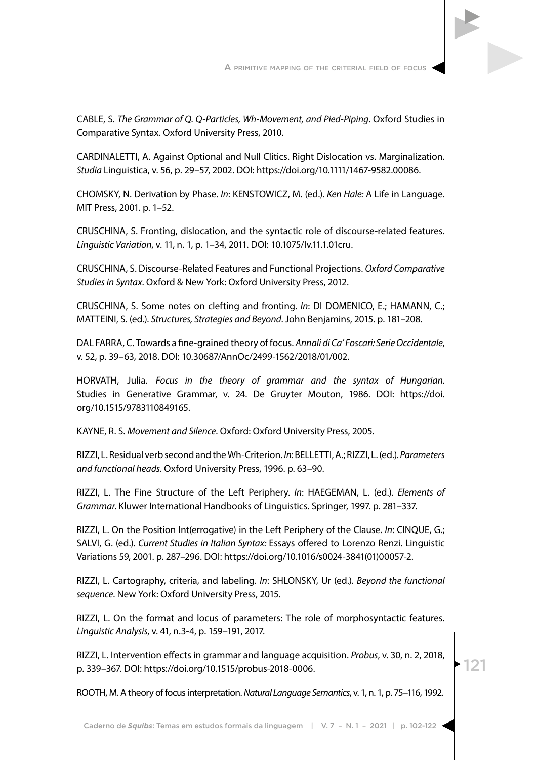

CARDINALETTI, A. Against Optional and Null Clitics. Right Dislocation vs. Marginalization. *Studia* Linguistica, v. 56, p. 29–57, 2002. DOI: https://doi.org/10.1111/1467-9582.00086.

CHOMSKY, N. Derivation by Phase. *In*: KENSTOWICZ, M. (ed.). *Ken Hale:* A Life in Language. MIT Press, 2001. p. 1–52.

CRUSCHINA, S. Fronting, dislocation, and the syntactic role of discourse-related features. *Linguistic Variation*, v. 11, n. 1, p. 1–34, 2011. DOI: 10.1075/lv.11.1.01cru.

CRUSCHINA, S. Discourse-Related Features and Functional Projections. *Oxford Comparative Studies in Syntax*. Oxford & New York: Oxford University Press, 2012.

CRUSCHINA, S. Some notes on clefting and fronting. *In*: DI DOMENICO, E.; HAMANN, C.; MATTEINI, S. (ed.). *Structures, Strategies and Beyond*. John Benjamins, 2015. p. 181–208.

DAL FARRA, C. Towards a fine-grained theory of focus. *Annali di Ca' Foscari: Serie Occidentale*, v. 52, p. 39–63, 2018. DOI: 10.30687/AnnOc/2499-1562/2018/01/002.

HORVATH, Julia. *Focus in the theory of grammar and the syntax of Hungarian*. Studies in Generative Grammar, v. 24. De Gruyter Mouton, 1986. DOI: https://doi. org/10.1515/9783110849165.

KAYNE, R. S. *Movement and Silence*. Oxford: Oxford University Press, 2005.

RIZZI, L. Residual verb second and the Wh-Criterion. *In*: BELLETTI, A.; RIZZI, L. (ed.). *Parameters and functional heads*. Oxford University Press, 1996. p. 63–90.

RIZZI, L. The Fine Structure of the Left Periphery. *In*: HAEGEMAN, L. (ed.). *Elements of Grammar*. Kluwer International Handbooks of Linguistics. Springer, 1997. p. 281–337.

RIZZI, L. On the Position Int(errogative) in the Left Periphery of the Clause. *In*: CINQUE, G.; SALVI, G. (ed.). *Current Studies in Italian Syntax:* Essays offered to Lorenzo Renzi. Linguistic Variations 59, 2001. p. 287–296. DOI: https://doi.org/10.1016/s0024-3841(01)00057-2.

RIZZI, L. Cartography, criteria, and labeling. *In*: SHLONSKY, Ur (ed.). *Beyond the functional sequence*. New York: Oxford University Press, 2015.

RIZZI, L. On the format and locus of parameters: The role of morphosyntactic features. *Linguistic Analysis*, v. 41, n.3-4, p. 159–191, 2017.

RIZZI, L. Intervention effects in grammar and language acquisition. *Probus*, v. 30, n. 2, 2018, p. 339–367. DOI: https://doi.org/10.1515/probus-2018-0006.

121

ROOTH, M. A theory of focus interpretation. *Natural Language Semantics*, v. 1, n. 1, p. 75–116, 1992.